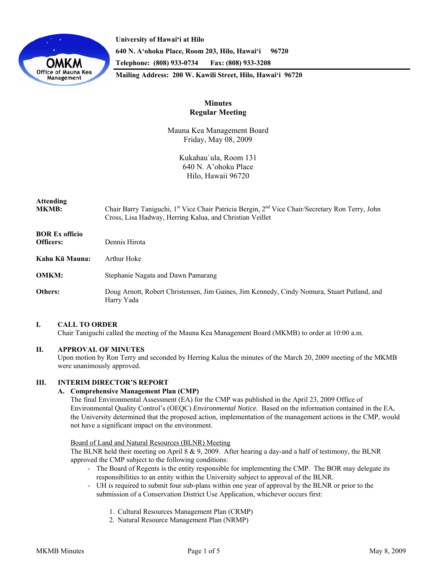

**University of Hawai'i at Hilo 640 N. A'ohoku Place, Room 203, Hilo, Hawai'i 96720 Telephone: (808) 933-0734 Fax: (808) 933-3208 Mailing Address: 200 W. Kawili Street, Hilo, Hawai'i 96720** 

# **Minutes Regular Meeting**

Mauna Kea Management Board Friday, May 08, 2009

> Kukahau`ula, Room 131 640 N. A'ohoku Place Hilo, Hawaii 96720

# **Attending MKMB:** Chair Barry Taniguchi, 1<sup>st</sup> Vice Chair Patricia Bergin, 2<sup>nd</sup> Vice Chair/Secretary Ron Terry, John Cross, Lisa Hadway, Herring Kalua, and Christian Veillet **BOR Ex officio Officers:** Dennis Hirota **Kahu Kū Mauna:** Arthur Hoke

**OMKM:** Stephanie Nagata and Dawn Pamarang

**Others:** Doug Arnott, Robert Christensen, Jim Gaines, Jim Kennedy, Cindy Nomura, Stuart Putland, and Harry Yada

## **I. CALL TO ORDER**

Chair Taniguchi called the meeting of the Mauna Kea Management Board (MKMB) to order at 10:00 a.m.

# **II. APPROVAL OF MINUTES**

Upon motion by Ron Terry and seconded by Herring Kalua the minutes of the March 20, 2009 meeting of the MKMB were unanimously approved.

## **III. INTERIM DIRECTOR'S REPORT**

## **A. Comprehensive Management Plan (CMP)**

 The final Environmental Assessment (EA) for the CMP was published in the April 23, 2009 Office of Environmental Quality Control's (OEQC) *Environmental Notice.* Based on the information contained in the EA, the University determined that the proposed action, implementation of the management actions in the CMP, would not have a significant impact on the environment.

#### Board of Land and Natural Resources (BLNR) Meeting

 The BLNR held their meeting on April 8 & 9, 2009. After hearing a day-and a half of testimony, the BLNR approved the CMP subject to the following conditions:

- The Board of Regents is the entity responsible for implementing the CMP. The BOR may delegate its responsibilities to an entity within the University subject to approval of the BLNR.
- UH is required to submit four sub-plans within one year of approval by the BLNR or prior to the submission of a Conservation District Use Application, whichever occurs first:
	- 1. Cultural Resources Management Plan (CRMP)
	- 2. Natural Resource Management Plan (NRMP)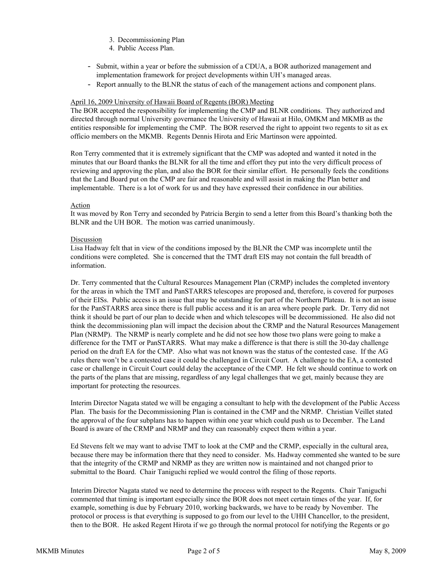- 3. Decommissioning Plan
- 4. Public Access Plan.
- Submit, within a year or before the submission of a CDUA, a BOR authorized management and implementation framework for project developments within UH's managed areas.
- Report annually to the BLNR the status of each of the management actions and component plans.

## April 16, 2009 University of Hawaii Board of Regents (BOR) Meeting

The BOR accepted the responsibility for implementing the CMP and BLNR conditions. They authorized and directed through normal University governance the University of Hawaii at Hilo, OMKM and MKMB as the entities responsible for implementing the CMP. The BOR reserved the right to appoint two regents to sit as ex officio members on the MKMB. Regents Dennis Hirota and Eric Martinson were appointed.

Ron Terry commented that it is extremely significant that the CMP was adopted and wanted it noted in the minutes that our Board thanks the BLNR for all the time and effort they put into the very difficult process of reviewing and approving the plan, and also the BOR for their similar effort. He personally feels the conditions that the Land Board put on the CMP are fair and reasonable and will assist in making the Plan better and implementable. There is a lot of work for us and they have expressed their confidence in our abilities.

#### Action

It was moved by Ron Terry and seconded by Patricia Bergin to send a letter from this Board's thanking both the BLNR and the UH BOR. The motion was carried unanimously.

#### Discussion

 Lisa Hadway felt that in view of the conditions imposed by the BLNR the CMP was incomplete until the conditions were completed. She is concerned that the TMT draft EIS may not contain the full breadth of information.

 Dr. Terry commented that the Cultural Resources Management Plan (CRMP) includes the completed inventory for the areas in which the TMT and PanSTARRS telescopes are proposed and, therefore, is covered for purposes of their EISs. Public access is an issue that may be outstanding for part of the Northern Plateau. It is not an issue for the PanSTARRS area since there is full public access and it is an area where people park. Dr. Terry did not think it should be part of our plan to decide when and which telescopes will be decommissioned. He also did not think the decommissioning plan will impact the decision about the CRMP and the Natural Resources Management Plan (NRMP). The NRMP is nearly complete and he did not see how those two plans were going to make a difference for the TMT or PanSTARRS. What may make a difference is that there is still the 30-day challenge period on the draft EA for the CMP. Also what was not known was the status of the contested case. If the AG rules there won't be a contested case it could be challenged in Circuit Court. A challenge to the EA, a contested case or challenge in Circuit Court could delay the acceptance of the CMP. He felt we should continue to work on the parts of the plans that are missing, regardless of any legal challenges that we get, mainly because they are important for protecting the resources.

Interim Director Nagata stated we will be engaging a consultant to help with the development of the Public Access Plan. The basis for the Decommissioning Plan is contained in the CMP and the NRMP. Christian Veillet stated the approval of the four subplans has to happen within one year which could push us to December. The Land Board is aware of the CRMP and NRMP and they can reasonably expect them within a year.

Ed Stevens felt we may want to advise TMT to look at the CMP and the CRMP, especially in the cultural area, because there may be information there that they need to consider. Ms. Hadway commented she wanted to be sure that the integrity of the CRMP and NRMP as they are written now is maintained and not changed prior to submittal to the Board. Chair Taniguchi replied we would control the filing of those reports.

Interim Director Nagata stated we need to determine the process with respect to the Regents. Chair Taniguchi commented that timing is important especially since the BOR does not meet certain times of the year. If, for example, something is due by February 2010, working backwards, we have to be ready by November. The protocol or process is that everything is supposed to go from our level to the UHH Chancellor, to the president, then to the BOR. He asked Regent Hirota if we go through the normal protocol for notifying the Regents or go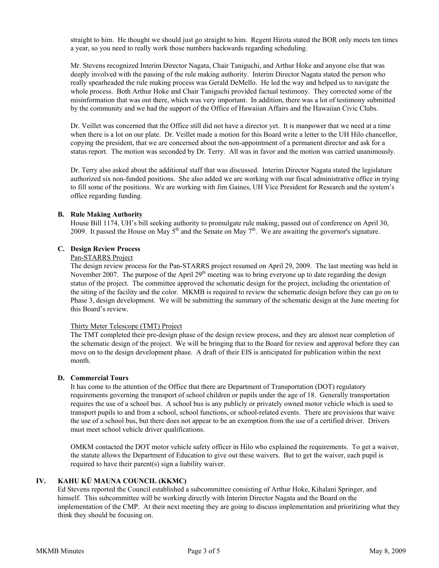straight to him. He thought we should just go straight to him. Regent Hirota stated the BOR only meets ten times a year, so you need to really work those numbers backwards regarding scheduling.

Mr. Stevens recognized Interim Director Nagata, Chair Taniguchi, and Arthur Hoke and anyone else that was deeply involved with the passing of the rule making authority. Interim Director Nagata stated the person who really spearheaded the rule making process was Gerald DeMello. He led the way and helped us to navigate the whole process. Both Arthur Hoke and Chair Taniguchi provided factual testimony. They corrected some of the misinformation that was out there, which was very important. In addition, there was a lot of testimony submitted by the community and we had the support of the Office of Hawaiian Affairs and the Hawaiian Civic Clubs.

Dr. Veillet was concerned that the Office still did not have a director yet. It is manpower that we need at a time when there is a lot on our plate. Dr. Veillet made a motion for this Board write a letter to the UH Hilo chancellor, copying the president, that we are concerned about the non-appointment of a permanent director and ask for a status report. The motion was seconded by Dr. Terry. All was in favor and the motion was carried unanimously.

Dr. Terry also asked about the additional staff that was discussed. Interim Director Nagata stated the legislature authorized six non-funded positions. She also added we are working with our fiscal administrative office in trying to fill some of the positions. We are working with Jim Gaines, UH Vice President for Research and the system's office regarding funding.

#### **B. Rule Making Authority**

House Bill 1174, UH's bill seeking authority to promulgate rule making, passed out of conference on April 30, 2009. It passed the House on May  $5<sup>th</sup>$  and the Senate on May  $7<sup>th</sup>$ . We are awaiting the governor's signature.

## **C. Design Review Process**

#### Pan-STARRS Project

The design review process for the Pan-STARRS project resumed on April 29, 2009. The last meeting was held in November 2007. The purpose of the April  $29<sup>th</sup>$  meeting was to bring everyone up to date regarding the design status of the project. The committee approved the schematic design for the project, including the orientation of the siting of the facility and the color. MKMB is required to review the schematic design before they can go on to Phase 3, design development. We will be submitting the summary of the schematic design at the June meeting for this Board's review.

#### Thirty Meter Telescope (TMT) Project

The TMT completed their pre-design phase of the design review process, and they are almost near completion of the schematic design of the project. We will be bringing that to the Board for review and approval before they can move on to the design development phase. A draft of their EIS is anticipated for publication within the next month.

#### **D. Commercial Tours**

It has come to the attention of the Office that there are Department of Transportation (DOT) regulatory requirements governing the transport of school children or pupils under the age of 18. Generally transportation requires the use of a school bus. A school bus is any publicly or privately owned motor vehicle which is used to transport pupils to and from a school, school functions, or school-related events. There are provisions that waive the use of a school bus, but there does not appear to be an exemption from the use of a certified driver. Drivers must meet school vehicle driver qualifications.

OMKM contacted the DOT motor vehicle safety officer in Hilo who explained the requirements. To get a waiver, the statute allows the Department of Education to give out these waivers. But to get the waiver, each pupil is required to have their parent(s) sign a liability waiver.

## **IV. KAHU KŪ MAUNA COUNCIL (KKMC)**

Ed Stevens reported the Council established a subcommittee consisting of Arthur Hoke, Kihalani Springer, and himself. This subcommittee will be working directly with Interim Director Nagata and the Board on the implementation of the CMP. At their next meeting they are going to discuss implementation and prioritizing what they think they should be focusing on.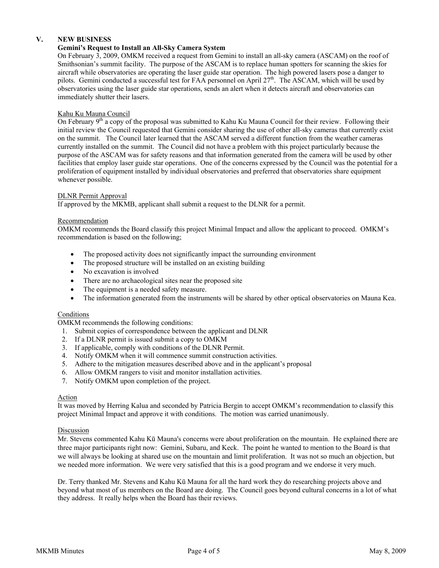# **V. NEW BUSINESS**

## **Gemini's Request to Install an All-Sky Camera System**

On February 3, 2009, OMKM received a request from Gemini to install an all-sky camera (ASCAM) on the roof of Smithsonian's summit facility. The purpose of the ASCAM is to replace human spotters for scanning the skies for aircraft while observatories are operating the laser guide star operation. The high powered lasers pose a danger to pilots. Gemini conducted a successful test for FAA personnel on April 27<sup>th</sup>. The ASCAM, which will be used by observatories using the laser guide star operations, sends an alert when it detects aircraft and observatories can immediately shutter their lasers.

## Kahu Ku Mauna Council

On February  $9<sup>th</sup>$  a copy of the proposal was submitted to Kahu Ku Mauna Council for their review. Following their initial review the Council requested that Gemini consider sharing the use of other all-sky cameras that currently exist on the summit. The Council later learned that the ASCAM served a different function from the weather cameras currently installed on the summit. The Council did not have a problem with this project particularly because the purpose of the ASCAM was for safety reasons and that information generated from the camera will be used by other facilities that employ laser guide star operations. One of the concerns expressed by the Council was the potential for a proliferation of equipment installed by individual observatories and preferred that observatories share equipment whenever possible.

## DLNR Permit Approval

If approved by the MKMB, applicant shall submit a request to the DLNR for a permit.

## **Recommendation**

OMKM recommends the Board classify this project Minimal Impact and allow the applicant to proceed. OMKM's recommendation is based on the following;

- The proposed activity does not significantly impact the surrounding environment
- The proposed structure will be installed on an existing building
- No excavation is involved
- There are no archaeological sites near the proposed site
- The equipment is a needed safety measure.
- The information generated from the instruments will be shared by other optical observatories on Mauna Kea.

## Conditions

OMKM recommends the following conditions:

- 1. Submit copies of correspondence between the applicant and DLNR
- 2. If a DLNR permit is issued submit a copy to OMKM
- 3. If applicable, comply with conditions of the DLNR Permit.
- 4. Notify OMKM when it will commence summit construction activities.
- 5. Adhere to the mitigation measures described above and in the applicant's proposal
- 6. Allow OMKM rangers to visit and monitor installation activities.
- 7. Notify OMKM upon completion of the project.

## Action

It was moved by Herring Kalua and seconded by Patricia Bergin to accept OMKM's recommendation to classify this project Minimal Impact and approve it with conditions. The motion was carried unanimously.

## Discussion

Mr. Stevens commented Kahu Kū Mauna's concerns were about proliferation on the mountain. He explained there are three major participants right now: Gemini, Subaru, and Keck. The point he wanted to mention to the Board is that we will always be looking at shared use on the mountain and limit proliferation. It was not so much an objection, but we needed more information. We were very satisfied that this is a good program and we endorse it very much.

Dr. Terry thanked Mr. Stevens and Kahu Kū Mauna for all the hard work they do researching projects above and beyond what most of us members on the Board are doing. The Council goes beyond cultural concerns in a lot of what they address. It really helps when the Board has their reviews.